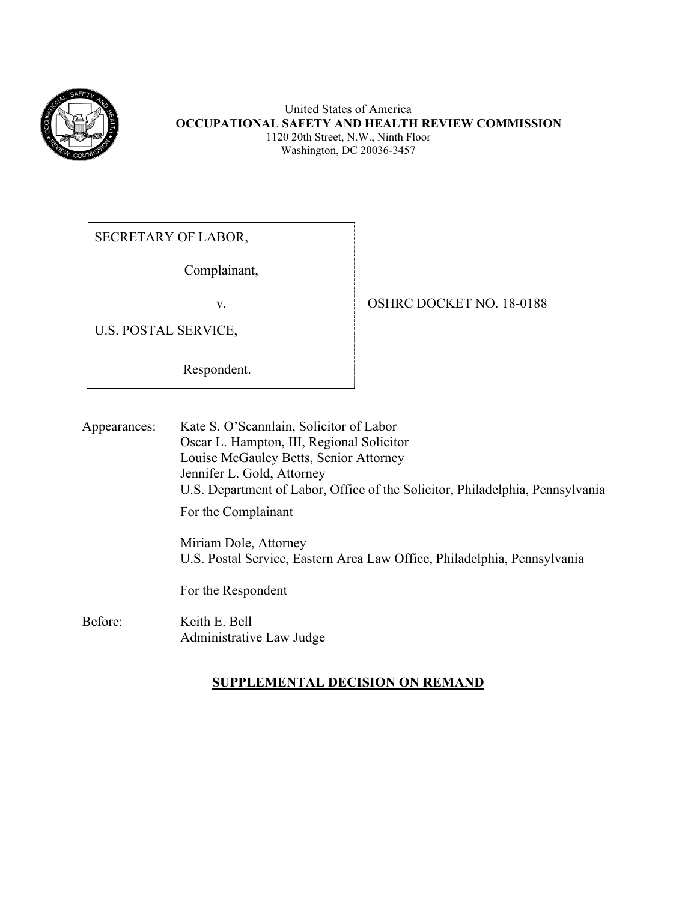

United States of America **OCCUPATIONAL SAFETY AND HEALTH REVIEW COMMISSION** 1120 20th Street, N.W., Ninth Floor Washington, DC 20036-3457

SECRETARY OF LABOR,

Complainant,

U.S. POSTAL SERVICE,

Respondent.

v. STREET NO. 18-0188

Appearances: Kate S. O'Scannlain, Solicitor of Labor Oscar L. Hampton, III, Regional Solicitor Louise McGauley Betts, Senior Attorney Jennifer L. Gold, Attorney U.S. Department of Labor, Office of the Solicitor, Philadelphia, Pennsylvania For the Complainant Miriam Dole, Attorney

U.S. Postal Service, Eastern Area Law Office, Philadelphia, Pennsylvania

For the Respondent

Before: Keith E. Bell Administrative Law Judge

# **SUPPLEMENTAL DECISION ON REMAND**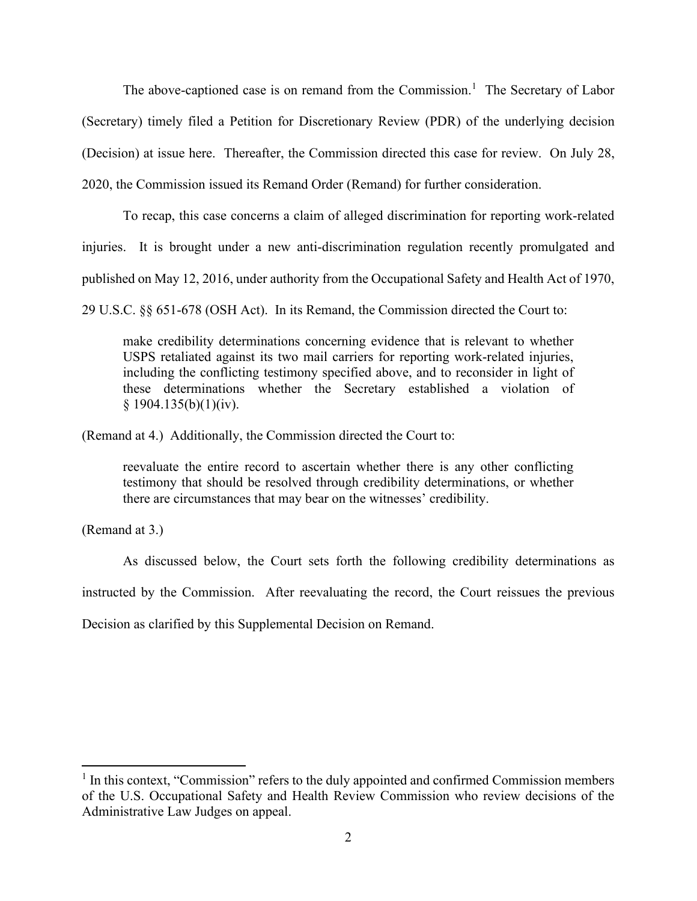The above-captioned case is on remand from the Commission.<sup>[1](#page-1-0)</sup> The Secretary of Labor (Secretary) timely filed a Petition for Discretionary Review (PDR) of the underlying decision (Decision) at issue here. Thereafter, the Commission directed this case for review. On July 28, 2020, the Commission issued its Remand Order (Remand) for further consideration.

To recap, this case concerns a claim of alleged discrimination for reporting work-related injuries. It is brought under a new anti-discrimination regulation recently promulgated and published on May 12, 2016, under authority from the Occupational Safety and Health Act of 1970,

29 U.S.C. §§ 651-678 (OSH Act). In its Remand, the Commission directed the Court to:

make credibility determinations concerning evidence that is relevant to whether USPS retaliated against its two mail carriers for reporting work-related injuries, including the conflicting testimony specified above, and to reconsider in light of these determinations whether the Secretary established a violation of  $§ 1904.135(b)(1)(iv).$ 

(Remand at 4.) Additionally, the Commission directed the Court to:

reevaluate the entire record to ascertain whether there is any other conflicting testimony that should be resolved through credibility determinations, or whether there are circumstances that may bear on the witnesses' credibility.

(Remand at 3.)

As discussed below, the Court sets forth the following credibility determinations as instructed by the Commission. After reevaluating the record, the Court reissues the previous Decision as clarified by this Supplemental Decision on Remand.

<span id="page-1-0"></span> $<sup>1</sup>$  In this context, "Commission" refers to the duly appointed and confirmed Commission members</sup> of the U.S. Occupational Safety and Health Review Commission who review decisions of the Administrative Law Judges on appeal.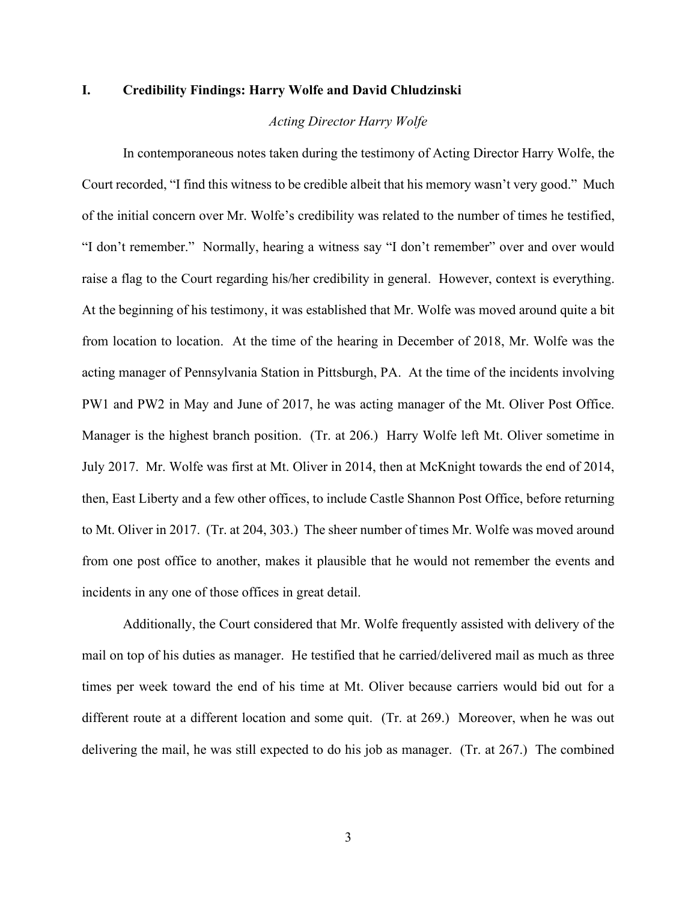# **I. Credibility Findings: Harry Wolfe and David Chludzinski**

# *Acting Director Harry Wolfe*

In contemporaneous notes taken during the testimony of Acting Director Harry Wolfe, the Court recorded, "I find this witness to be credible albeit that his memory wasn't very good." Much of the initial concern over Mr. Wolfe's credibility was related to the number of times he testified, "I don't remember." Normally, hearing a witness say "I don't remember" over and over would raise a flag to the Court regarding his/her credibility in general. However, context is everything. At the beginning of his testimony, it was established that Mr. Wolfe was moved around quite a bit from location to location. At the time of the hearing in December of 2018, Mr. Wolfe was the acting manager of Pennsylvania Station in Pittsburgh, PA. At the time of the incidents involving PW1 and PW2 in May and June of 2017, he was acting manager of the Mt. Oliver Post Office. Manager is the highest branch position. (Tr. at 206.) Harry Wolfe left Mt. Oliver sometime in July 2017. Mr. Wolfe was first at Mt. Oliver in 2014, then at McKnight towards the end of 2014, then, East Liberty and a few other offices, to include Castle Shannon Post Office, before returning to Mt. Oliver in 2017. (Tr. at 204, 303.) The sheer number of times Mr. Wolfe was moved around from one post office to another, makes it plausible that he would not remember the events and incidents in any one of those offices in great detail.

Additionally, the Court considered that Mr. Wolfe frequently assisted with delivery of the mail on top of his duties as manager. He testified that he carried/delivered mail as much as three times per week toward the end of his time at Mt. Oliver because carriers would bid out for a different route at a different location and some quit. (Tr. at 269.) Moreover, when he was out delivering the mail, he was still expected to do his job as manager. (Tr. at 267.) The combined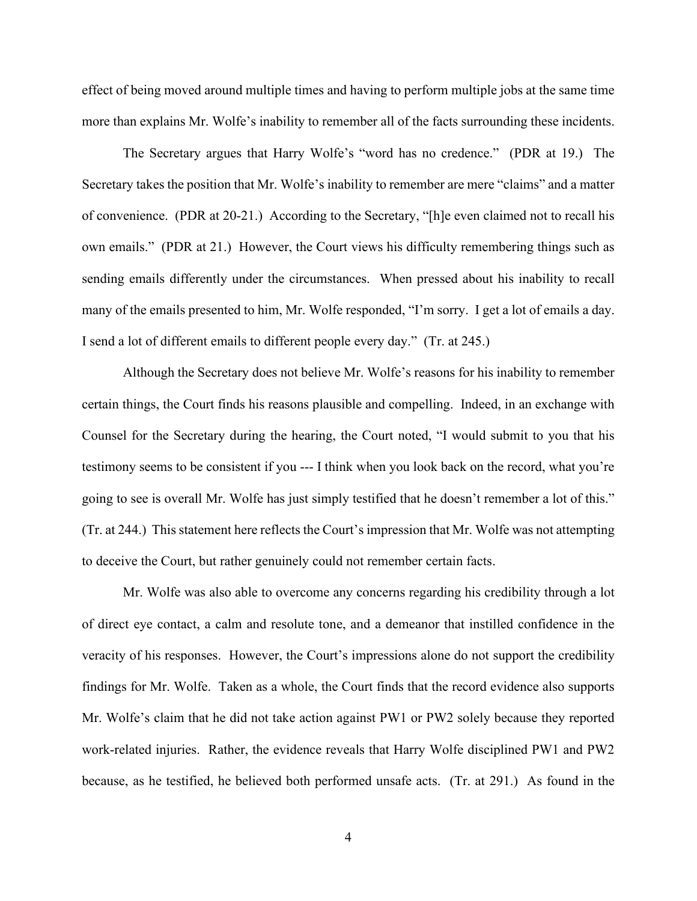effect of being moved around multiple times and having to perform multiple jobs at the same time more than explains Mr. Wolfe's inability to remember all of the facts surrounding these incidents.

The Secretary argues that Harry Wolfe's "word has no credence." (PDR at 19.) The Secretary takes the position that Mr. Wolfe's inability to remember are mere "claims" and a matter of convenience. (PDR at 20-21.) According to the Secretary, "[h]e even claimed not to recall his own emails." (PDR at 21.) However, the Court views his difficulty remembering things such as sending emails differently under the circumstances. When pressed about his inability to recall many of the emails presented to him, Mr. Wolfe responded, "I'm sorry. I get a lot of emails a day. I send a lot of different emails to different people every day." (Tr. at 245.)

Although the Secretary does not believe Mr. Wolfe's reasons for his inability to remember certain things, the Court finds his reasons plausible and compelling. Indeed, in an exchange with Counsel for the Secretary during the hearing, the Court noted, "I would submit to you that his testimony seems to be consistent if you --- I think when you look back on the record, what you're going to see is overall Mr. Wolfe has just simply testified that he doesn't remember a lot of this." (Tr. at 244.) This statement here reflects the Court's impression that Mr. Wolfe was not attempting to deceive the Court, but rather genuinely could not remember certain facts.

Mr. Wolfe was also able to overcome any concerns regarding his credibility through a lot of direct eye contact, a calm and resolute tone, and a demeanor that instilled confidence in the veracity of his responses. However, the Court's impressions alone do not support the credibility findings for Mr. Wolfe. Taken as a whole, the Court finds that the record evidence also supports Mr. Wolfe's claim that he did not take action against PW1 or PW2 solely because they reported work-related injuries. Rather, the evidence reveals that Harry Wolfe disciplined PW1 and PW2 because, as he testified, he believed both performed unsafe acts. (Tr. at 291.) As found in the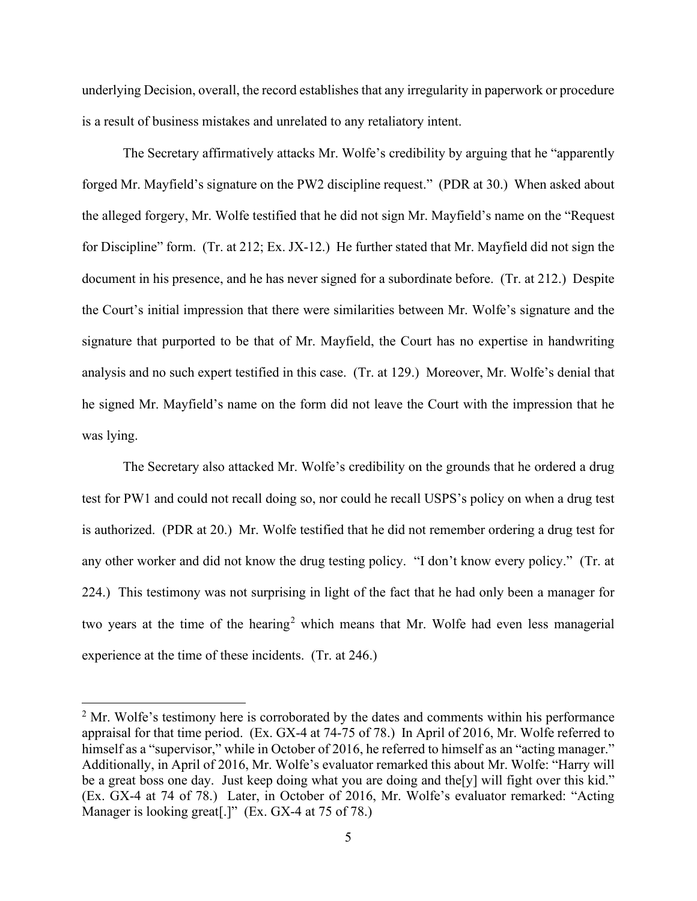underlying Decision, overall, the record establishes that any irregularity in paperwork or procedure is a result of business mistakes and unrelated to any retaliatory intent.

The Secretary affirmatively attacks Mr. Wolfe's credibility by arguing that he "apparently forged Mr. Mayfield's signature on the PW2 discipline request." (PDR at 30.) When asked about the alleged forgery, Mr. Wolfe testified that he did not sign Mr. Mayfield's name on the "Request for Discipline" form. (Tr. at 212; Ex. JX-12.) He further stated that Mr. Mayfield did not sign the document in his presence, and he has never signed for a subordinate before. (Tr. at 212.) Despite the Court's initial impression that there were similarities between Mr. Wolfe's signature and the signature that purported to be that of Mr. Mayfield, the Court has no expertise in handwriting analysis and no such expert testified in this case. (Tr. at 129.) Moreover, Mr. Wolfe's denial that he signed Mr. Mayfield's name on the form did not leave the Court with the impression that he was lying.

The Secretary also attacked Mr. Wolfe's credibility on the grounds that he ordered a drug test for PW1 and could not recall doing so, nor could he recall USPS's policy on when a drug test is authorized. (PDR at 20.) Mr. Wolfe testified that he did not remember ordering a drug test for any other worker and did not know the drug testing policy. "I don't know every policy." (Tr. at 224.) This testimony was not surprising in light of the fact that he had only been a manager for two years at the time of the hearing<sup>[2](#page-4-0)</sup> which means that Mr. Wolfe had even less managerial experience at the time of these incidents. (Tr. at 246.)

<span id="page-4-0"></span> $2<sup>2</sup>$  Mr. Wolfe's testimony here is corroborated by the dates and comments within his performance appraisal for that time period. (Ex. GX-4 at 74-75 of 78.) In April of 2016, Mr. Wolfe referred to himself as a "supervisor," while in October of 2016, he referred to himself as an "acting manager." Additionally, in April of 2016, Mr. Wolfe's evaluator remarked this about Mr. Wolfe: "Harry will be a great boss one day. Just keep doing what you are doing and the [y] will fight over this kid." (Ex. GX-4 at 74 of 78.) Later, in October of 2016, Mr. Wolfe's evaluator remarked: "Acting Manager is looking great<sup>[1]</sup>" (Ex. GX-4 at 75 of 78.)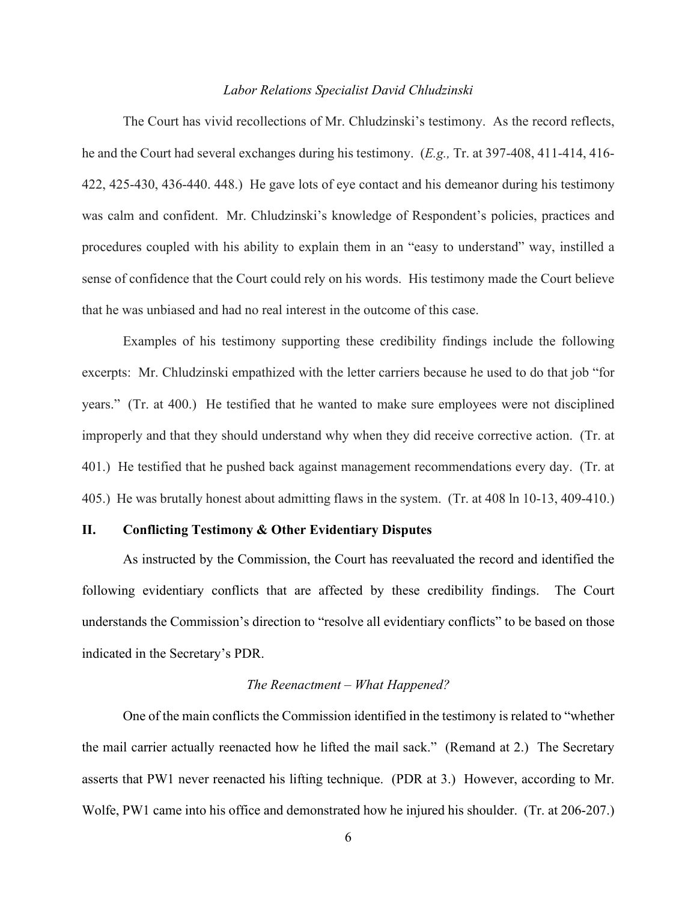#### *Labor Relations Specialist David Chludzinski*

The Court has vivid recollections of Mr. Chludzinski's testimony. As the record reflects, he and the Court had several exchanges during his testimony. (*E.g.,* Tr. at 397-408, 411-414, 416- 422, 425-430, 436-440. 448.) He gave lots of eye contact and his demeanor during his testimony was calm and confident. Mr. Chludzinski's knowledge of Respondent's policies, practices and procedures coupled with his ability to explain them in an "easy to understand" way, instilled a sense of confidence that the Court could rely on his words. His testimony made the Court believe that he was unbiased and had no real interest in the outcome of this case.

Examples of his testimony supporting these credibility findings include the following excerpts: Mr. Chludzinski empathized with the letter carriers because he used to do that job "for years." (Tr. at 400.) He testified that he wanted to make sure employees were not disciplined improperly and that they should understand why when they did receive corrective action. (Tr. at 401.) He testified that he pushed back against management recommendations every day. (Tr. at 405.) He was brutally honest about admitting flaws in the system. (Tr. at 408 ln 10-13, 409-410.)

# **II. Conflicting Testimony & Other Evidentiary Disputes**

As instructed by the Commission, the Court has reevaluated the record and identified the following evidentiary conflicts that are affected by these credibility findings. The Court understands the Commission's direction to "resolve all evidentiary conflicts" to be based on those indicated in the Secretary's PDR.

# *The Reenactment – What Happened?*

One of the main conflicts the Commission identified in the testimony is related to "whether the mail carrier actually reenacted how he lifted the mail sack." (Remand at 2.) The Secretary asserts that PW1 never reenacted his lifting technique. (PDR at 3.) However, according to Mr. Wolfe, PW1 came into his office and demonstrated how he injured his shoulder. (Tr. at 206-207.)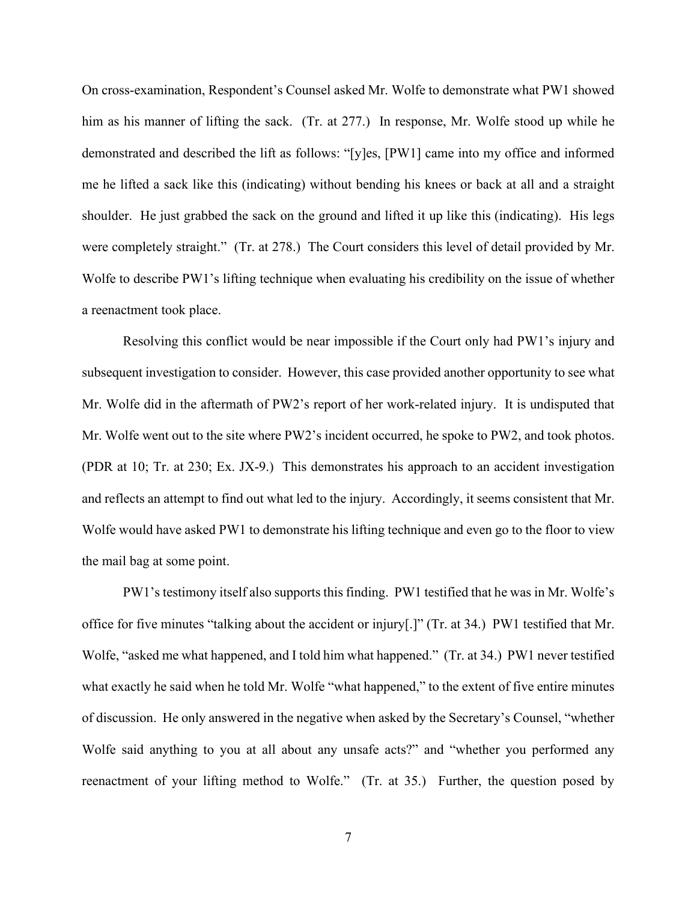On cross-examination, Respondent's Counsel asked Mr. Wolfe to demonstrate what PW1 showed him as his manner of lifting the sack. (Tr. at 277.) In response, Mr. Wolfe stood up while he demonstrated and described the lift as follows: "[y]es, [PW1] came into my office and informed me he lifted a sack like this (indicating) without bending his knees or back at all and a straight shoulder. He just grabbed the sack on the ground and lifted it up like this (indicating). His legs were completely straight." (Tr. at 278.) The Court considers this level of detail provided by Mr. Wolfe to describe PW1's lifting technique when evaluating his credibility on the issue of whether a reenactment took place.

Resolving this conflict would be near impossible if the Court only had PW1's injury and subsequent investigation to consider. However, this case provided another opportunity to see what Mr. Wolfe did in the aftermath of PW2's report of her work-related injury. It is undisputed that Mr. Wolfe went out to the site where PW2's incident occurred, he spoke to PW2, and took photos. (PDR at 10; Tr. at 230; Ex. JX-9.) This demonstrates his approach to an accident investigation and reflects an attempt to find out what led to the injury. Accordingly, it seems consistent that Mr. Wolfe would have asked PW1 to demonstrate his lifting technique and even go to the floor to view the mail bag at some point.

PW1's testimony itself also supports this finding. PW1 testified that he was in Mr. Wolfe's office for five minutes "talking about the accident or injury[.]" (Tr. at 34.) PW1 testified that Mr. Wolfe, "asked me what happened, and I told him what happened." (Tr. at 34.) PW1 never testified what exactly he said when he told Mr. Wolfe "what happened," to the extent of five entire minutes of discussion. He only answered in the negative when asked by the Secretary's Counsel, "whether Wolfe said anything to you at all about any unsafe acts?" and "whether you performed any reenactment of your lifting method to Wolfe." (Tr. at 35.) Further, the question posed by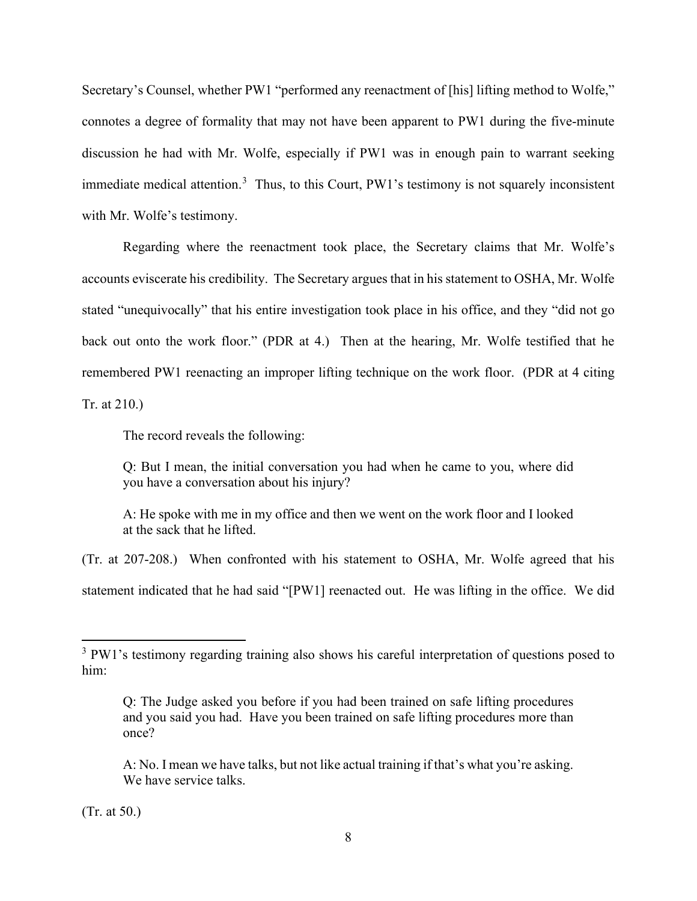Secretary's Counsel, whether PW1 "performed any reenactment of [his] lifting method to Wolfe," connotes a degree of formality that may not have been apparent to PW1 during the five-minute discussion he had with Mr. Wolfe, especially if PW1 was in enough pain to warrant seeking immediate medical attention.<sup>[3](#page-7-0)</sup> Thus, to this Court, PW1's testimony is not squarely inconsistent with Mr. Wolfe's testimony.

Regarding where the reenactment took place, the Secretary claims that Mr. Wolfe's accounts eviscerate his credibility. The Secretary argues that in his statement to OSHA, Mr. Wolfe stated "unequivocally" that his entire investigation took place in his office, and they "did not go back out onto the work floor." (PDR at 4.) Then at the hearing, Mr. Wolfe testified that he remembered PW1 reenacting an improper lifting technique on the work floor. (PDR at 4 citing Tr. at 210.)

The record reveals the following:

Q: But I mean, the initial conversation you had when he came to you, where did you have a conversation about his injury?

A: He spoke with me in my office and then we went on the work floor and I looked at the sack that he lifted.

(Tr. at 207-208.) When confronted with his statement to OSHA, Mr. Wolfe agreed that his statement indicated that he had said "[PW1] reenacted out. He was lifting in the office. We did

(Tr. at 50.)

<span id="page-7-0"></span><sup>&</sup>lt;sup>3</sup> PW1's testimony regarding training also shows his careful interpretation of questions posed to him:

Q: The Judge asked you before if you had been trained on safe lifting procedures and you said you had. Have you been trained on safe lifting procedures more than once?

A: No. I mean we have talks, but not like actual training if that's what you're asking. We have service talks.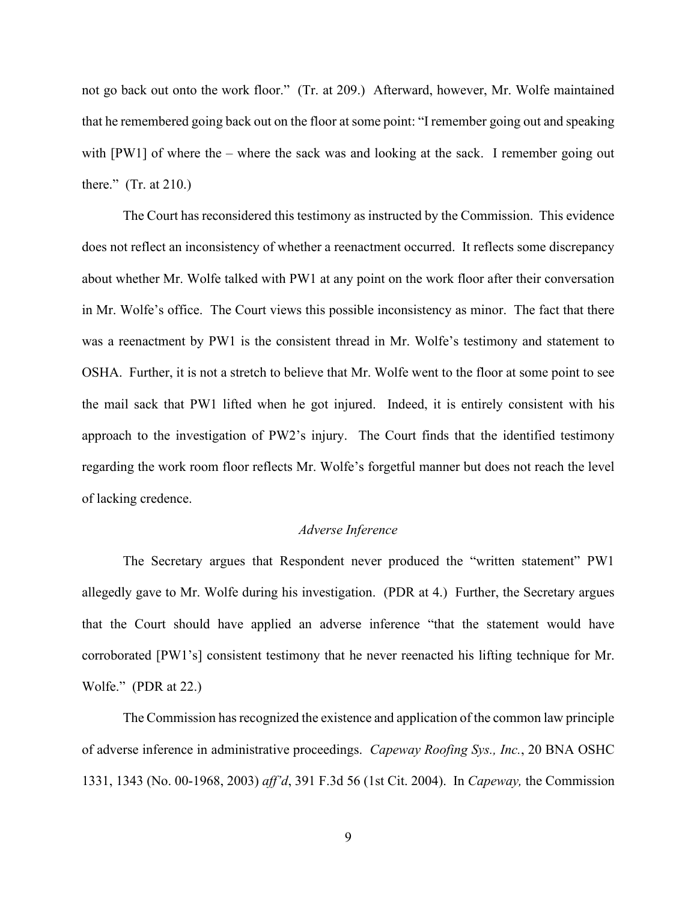not go back out onto the work floor." (Tr. at 209.) Afterward, however, Mr. Wolfe maintained that he remembered going back out on the floor at some point: "I remember going out and speaking with [PW1] of where the – where the sack was and looking at the sack. I remember going out there." (Tr. at 210.)

The Court has reconsidered this testimony as instructed by the Commission. This evidence does not reflect an inconsistency of whether a reenactment occurred. It reflects some discrepancy about whether Mr. Wolfe talked with PW1 at any point on the work floor after their conversation in Mr. Wolfe's office. The Court views this possible inconsistency as minor. The fact that there was a reenactment by PW1 is the consistent thread in Mr. Wolfe's testimony and statement to OSHA. Further, it is not a stretch to believe that Mr. Wolfe went to the floor at some point to see the mail sack that PW1 lifted when he got injured. Indeed, it is entirely consistent with his approach to the investigation of PW2's injury. The Court finds that the identified testimony regarding the work room floor reflects Mr. Wolfe's forgetful manner but does not reach the level of lacking credence.

# *Adverse Inference*

The Secretary argues that Respondent never produced the "written statement" PW1 allegedly gave to Mr. Wolfe during his investigation. (PDR at 4.) Further, the Secretary argues that the Court should have applied an adverse inference "that the statement would have corroborated [PW1's] consistent testimony that he never reenacted his lifting technique for Mr. Wolfe." (PDR at 22.)

The Commission has recognized the existence and application of the common law principle of adverse inference in administrative proceedings. *[Capeway Roofing Sys., Inc.](https://1.next.westlaw.com/Link/Document/FullText?findType=Y&serNum=2004414236&pubNum=0003227&originatingDoc=I83500bd47fe811e6b86bd602cb8781fa&refType=CA&fi=co_pp_sp_3227_1343&originationContext=document&transitionType=DocumentItem&contextData=(sc.Search)#co_pp_sp_3227_1343)*, 20 BNA OSHC [1331, 1343 \(No. 00-1968,](https://1.next.westlaw.com/Link/Document/FullText?findType=Y&serNum=2004414236&pubNum=0003227&originatingDoc=I83500bd47fe811e6b86bd602cb8781fa&refType=CA&fi=co_pp_sp_3227_1343&originationContext=document&transitionType=DocumentItem&contextData=(sc.Search)#co_pp_sp_3227_1343) 2003) *aff'd*, 391 F.3d 56 (1st Cit. 2004). In *Capeway,* the Commission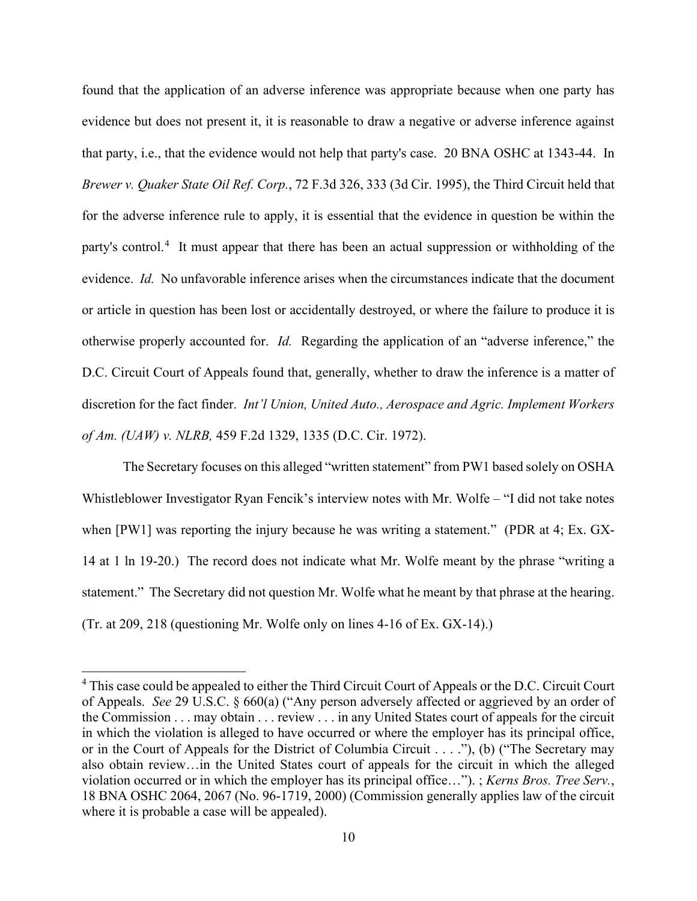found that the application of an adverse inference was appropriate because when one party has evidence but does not present it, it is reasonable to draw a negative or adverse inference against that party, i.e., that the evidence would not help that party's case. 20 BNA OSHC at 1343-44. In *Brewer v. Quaker State Oil Ref. Corp.*, 72 F.3d 326, 333 (3d Cir. 1995), the Third Circuit held that for the adverse inference rule to apply, it is essential that the evidence in question be within the party's control.<sup>[4](#page-9-0)</sup> It must appear that there has been an actual suppression or withholding of the evidence. *Id.* No unfavorable inference arises when the circumstances indicate that the document or article in question has been lost or accidentally destroyed, or where the failure to produce it is otherwise properly accounted for. *Id.* Regarding the application of an "adverse inference," the D.C. Circuit Court of Appeals found that, generally, whether to draw the inference is a matter of discretion for the fact finder. *Int'l Union, United Auto., Aerospace and Agric. Implement Workers of Am. (UAW) v. NLRB,* 459 F.2d 1329, 1335 (D.C. Cir. 1972).

The Secretary focuses on this alleged "written statement" from PW1 based solely on OSHA Whistleblower Investigator Ryan Fencik's interview notes with Mr. Wolfe – "I did not take notes when [PW1] was reporting the injury because he was writing a statement." (PDR at 4; Ex. GX-14 at 1 ln 19-20.) The record does not indicate what Mr. Wolfe meant by the phrase "writing a statement." The Secretary did not question Mr. Wolfe what he meant by that phrase at the hearing. (Tr. at 209, 218 (questioning Mr. Wolfe only on lines 4-16 of Ex. GX-14).)

<span id="page-9-0"></span><sup>&</sup>lt;sup>4</sup> This case could be appealed to either the Third Circuit Court of Appeals or the D.C. Circuit Court of Appeals. *See* 29 U.S.C. § 660(a) ("Any person adversely affected or aggrieved by an order of the Commission . . . may obtain . . . review . . . in any United States court of appeals for the circuit in which the violation is alleged to have occurred or where the employer has its principal office, or in the Court of Appeals for the District of Columbia Circuit . . . ."), (b) ("The Secretary may also obtain review…in the United States court of appeals for the circuit in which the alleged violation occurred or in which the employer has its principal office…"). ; *Kerns Bros. Tree Serv.*, 18 BNA OSHC 2064, 2067 (No. 96-1719, 2000) (Commission generally applies law of the circuit where it is probable a case will be appealed).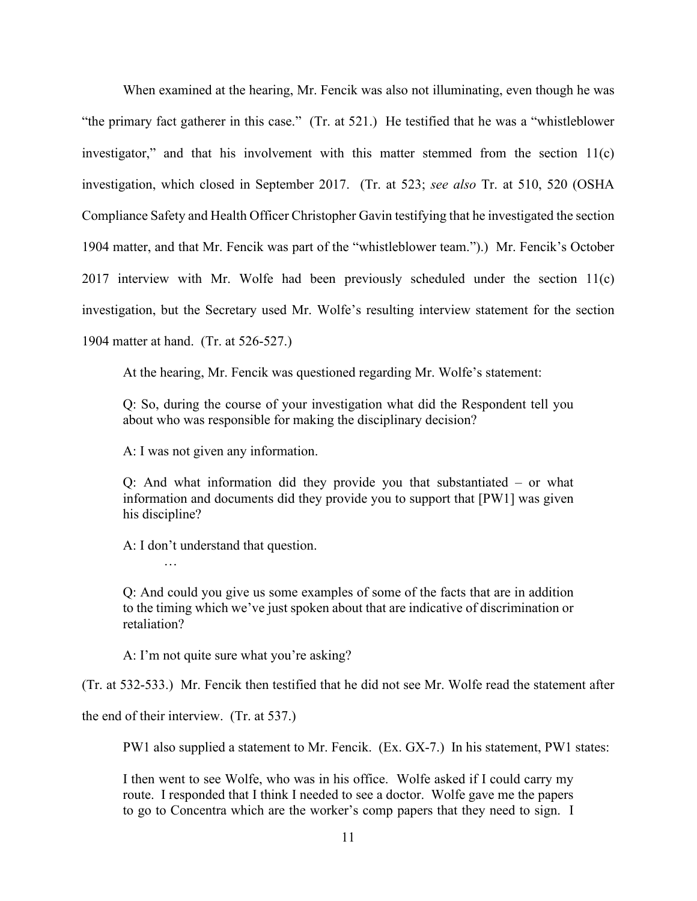When examined at the hearing, Mr. Fencik was also not illuminating, even though he was "the primary fact gatherer in this case." (Tr. at 521.) He testified that he was a "whistleblower investigator," and that his involvement with this matter stemmed from the section 11(c) investigation, which closed in September 2017. (Tr. at 523; *see also* Tr. at 510, 520 (OSHA Compliance Safety and Health Officer Christopher Gavin testifying that he investigated the section 1904 matter, and that Mr. Fencik was part of the "whistleblower team.").) Mr. Fencik's October 2017 interview with Mr. Wolfe had been previously scheduled under the section  $11(c)$ investigation, but the Secretary used Mr. Wolfe's resulting interview statement for the section 1904 matter at hand. (Tr. at 526-527.)

At the hearing, Mr. Fencik was questioned regarding Mr. Wolfe's statement:

Q: So, during the course of your investigation what did the Respondent tell you about who was responsible for making the disciplinary decision?

A: I was not given any information.

Q: And what information did they provide you that substantiated – or what information and documents did they provide you to support that [PW1] was given his discipline?

A: I don't understand that question.

Q: And could you give us some examples of some of the facts that are in addition to the timing which we've just spoken about that are indicative of discrimination or retaliation?

A: I'm not quite sure what you're asking?

(Tr. at 532-533.) Mr. Fencik then testified that he did not see Mr. Wolfe read the statement after

the end of their interview. (Tr. at 537.)

…

PW1 also supplied a statement to Mr. Fencik. (Ex. GX-7.) In his statement, PW1 states:

I then went to see Wolfe, who was in his office. Wolfe asked if I could carry my route. I responded that I think I needed to see a doctor. Wolfe gave me the papers to go to Concentra which are the worker's comp papers that they need to sign. I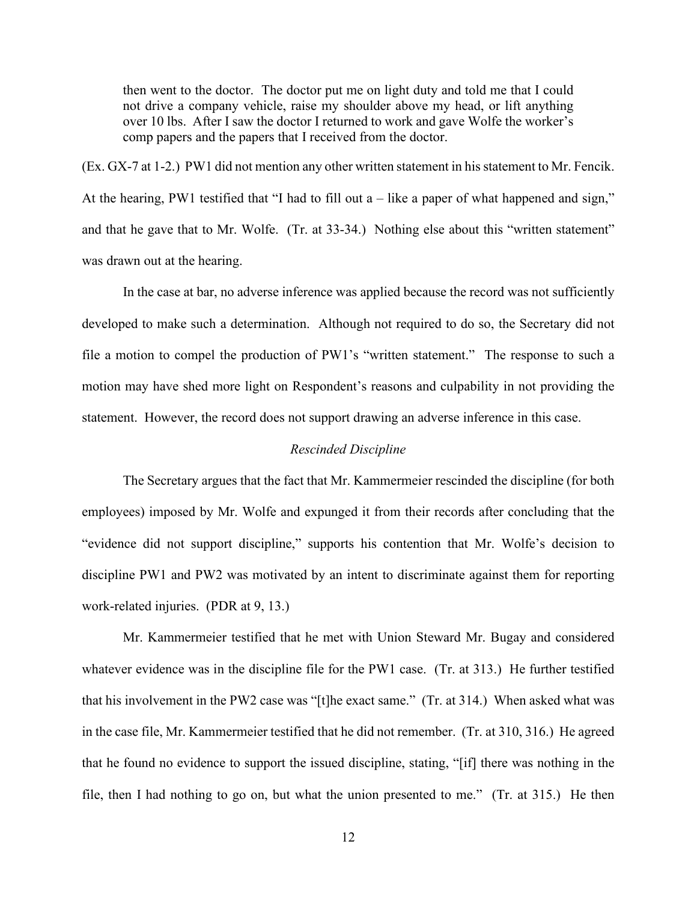then went to the doctor. The doctor put me on light duty and told me that I could not drive a company vehicle, raise my shoulder above my head, or lift anything over 10 lbs. After I saw the doctor I returned to work and gave Wolfe the worker's comp papers and the papers that I received from the doctor.

(Ex. GX-7 at 1-2.) PW1 did not mention any other written statement in his statement to Mr. Fencik. At the hearing, PW1 testified that "I had to fill out  $a$  – like a paper of what happened and sign," and that he gave that to Mr. Wolfe. (Tr. at 33-34.) Nothing else about this "written statement" was drawn out at the hearing.

In the case at bar, no adverse inference was applied because the record was not sufficiently developed to make such a determination. Although not required to do so, the Secretary did not file a motion to compel the production of PW1's "written statement." The response to such a motion may have shed more light on Respondent's reasons and culpability in not providing the statement. However, the record does not support drawing an adverse inference in this case.

# *Rescinded Discipline*

The Secretary argues that the fact that Mr. Kammermeier rescinded the discipline (for both employees) imposed by Mr. Wolfe and expunged it from their records after concluding that the "evidence did not support discipline," supports his contention that Mr. Wolfe's decision to discipline PW1 and PW2 was motivated by an intent to discriminate against them for reporting work-related injuries. (PDR at 9, 13.)

Mr. Kammermeier testified that he met with Union Steward Mr. Bugay and considered whatever evidence was in the discipline file for the PW1 case. (Tr. at 313.) He further testified that his involvement in the PW2 case was "[t]he exact same." (Tr. at 314.) When asked what was in the case file, Mr. Kammermeier testified that he did not remember. (Tr. at 310, 316.) He agreed that he found no evidence to support the issued discipline, stating, "[if] there was nothing in the file, then I had nothing to go on, but what the union presented to me." (Tr. at 315.) He then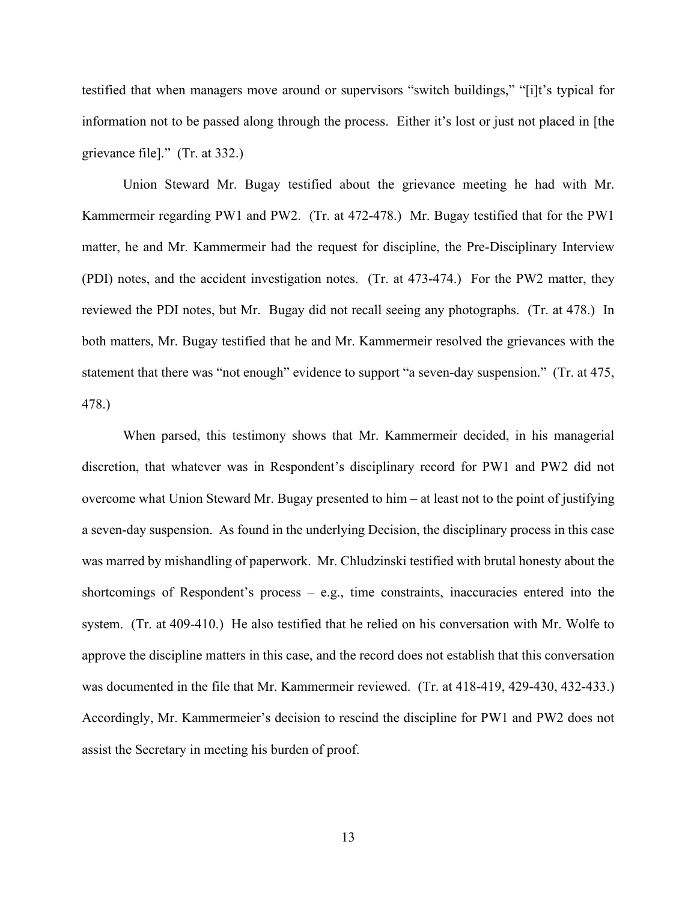testified that when managers move around or supervisors "switch buildings," "[i]t's typical for information not to be passed along through the process. Either it's lost or just not placed in [the grievance file]." (Tr. at 332.)

Union Steward Mr. Bugay testified about the grievance meeting he had with Mr. Kammermeir regarding PW1 and PW2. (Tr. at 472-478.) Mr. Bugay testified that for the PW1 matter, he and Mr. Kammermeir had the request for discipline, the Pre-Disciplinary Interview (PDI) notes, and the accident investigation notes. (Tr. at 473-474.) For the PW2 matter, they reviewed the PDI notes, but Mr. Bugay did not recall seeing any photographs. (Tr. at 478.) In both matters, Mr. Bugay testified that he and Mr. Kammermeir resolved the grievances with the statement that there was "not enough" evidence to support "a seven-day suspension." (Tr. at 475, 478.)

When parsed, this testimony shows that Mr. Kammermeir decided, in his managerial discretion, that whatever was in Respondent's disciplinary record for PW1 and PW2 did not overcome what Union Steward Mr. Bugay presented to him – at least not to the point of justifying a seven-day suspension. As found in the underlying Decision, the disciplinary process in this case was marred by mishandling of paperwork. Mr. Chludzinski testified with brutal honesty about the shortcomings of Respondent's process – e.g., time constraints, inaccuracies entered into the system. (Tr. at 409-410.) He also testified that he relied on his conversation with Mr. Wolfe to approve the discipline matters in this case, and the record does not establish that this conversation was documented in the file that Mr. Kammermeir reviewed. (Tr. at 418-419, 429-430, 432-433.) Accordingly, Mr. Kammermeier's decision to rescind the discipline for PW1 and PW2 does not assist the Secretary in meeting his burden of proof.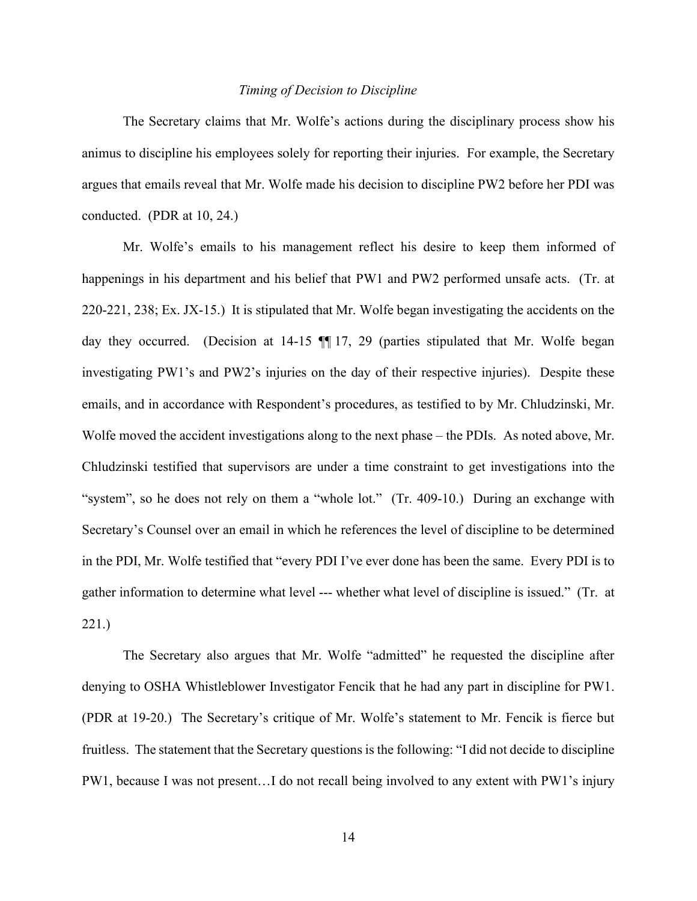#### *Timing of Decision to Discipline*

The Secretary claims that Mr. Wolfe's actions during the disciplinary process show his animus to discipline his employees solely for reporting their injuries. For example, the Secretary argues that emails reveal that Mr. Wolfe made his decision to discipline PW2 before her PDI was conducted. (PDR at 10, 24.)

Mr. Wolfe's emails to his management reflect his desire to keep them informed of happenings in his department and his belief that PW1 and PW2 performed unsafe acts. (Tr. at 220-221, 238; Ex. JX-15.) It is stipulated that Mr. Wolfe began investigating the accidents on the day they occurred. (Decision at 14-15  $\blacksquare$  17, 29 (parties stipulated that Mr. Wolfe began investigating PW1's and PW2's injuries on the day of their respective injuries). Despite these emails, and in accordance with Respondent's procedures, as testified to by Mr. Chludzinski, Mr. Wolfe moved the accident investigations along to the next phase – the PDIs. As noted above, Mr. Chludzinski testified that supervisors are under a time constraint to get investigations into the "system", so he does not rely on them a "whole lot." (Tr. 409-10.) During an exchange with Secretary's Counsel over an email in which he references the level of discipline to be determined in the PDI, Mr. Wolfe testified that "every PDI I've ever done has been the same. Every PDI is to gather information to determine what level --- whether what level of discipline is issued." (Tr. at 221.)

The Secretary also argues that Mr. Wolfe "admitted" he requested the discipline after denying to OSHA Whistleblower Investigator Fencik that he had any part in discipline for PW1. (PDR at 19-20.) The Secretary's critique of Mr. Wolfe's statement to Mr. Fencik is fierce but fruitless. The statement that the Secretary questions is the following: "I did not decide to discipline PW1, because I was not present…I do not recall being involved to any extent with PW1's injury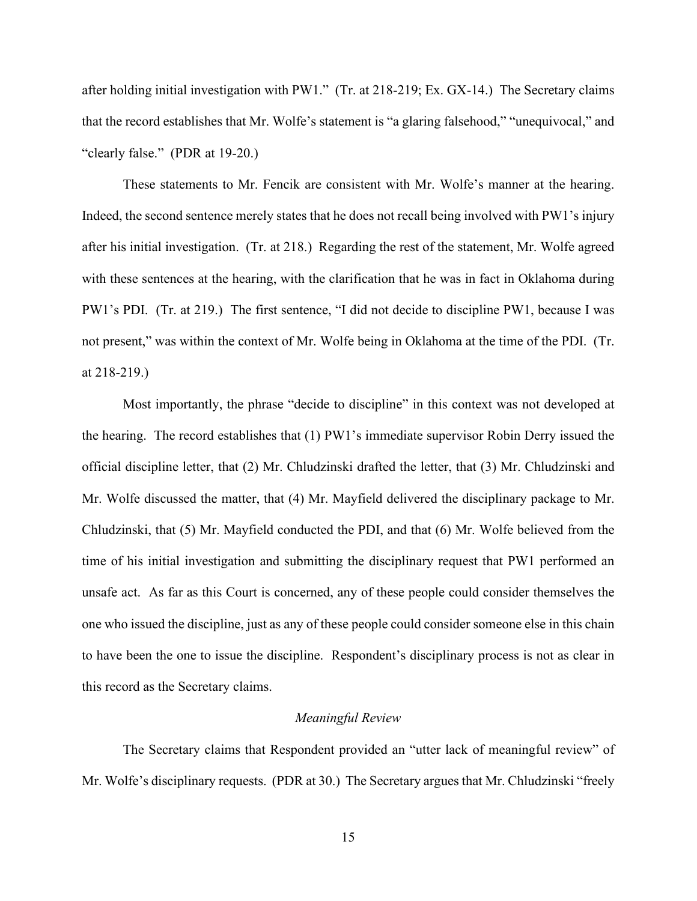after holding initial investigation with PW1." (Tr. at 218-219; Ex. GX-14.) The Secretary claims that the record establishes that Mr. Wolfe's statement is "a glaring falsehood," "unequivocal," and "clearly false." (PDR at 19-20.)

These statements to Mr. Fencik are consistent with Mr. Wolfe's manner at the hearing. Indeed, the second sentence merely states that he does not recall being involved with PW1's injury after his initial investigation. (Tr. at 218.) Regarding the rest of the statement, Mr. Wolfe agreed with these sentences at the hearing, with the clarification that he was in fact in Oklahoma during PW1's PDI. (Tr. at 219.) The first sentence, "I did not decide to discipline PW1, because I was not present," was within the context of Mr. Wolfe being in Oklahoma at the time of the PDI. (Tr. at 218-219.)

Most importantly, the phrase "decide to discipline" in this context was not developed at the hearing. The record establishes that (1) PW1's immediate supervisor Robin Derry issued the official discipline letter, that (2) Mr. Chludzinski drafted the letter, that (3) Mr. Chludzinski and Mr. Wolfe discussed the matter, that (4) Mr. Mayfield delivered the disciplinary package to Mr. Chludzinski, that (5) Mr. Mayfield conducted the PDI, and that (6) Mr. Wolfe believed from the time of his initial investigation and submitting the disciplinary request that PW1 performed an unsafe act. As far as this Court is concerned, any of these people could consider themselves the one who issued the discipline, just as any of these people could consider someone else in this chain to have been the one to issue the discipline. Respondent's disciplinary process is not as clear in this record as the Secretary claims.

### *Meaningful Review*

The Secretary claims that Respondent provided an "utter lack of meaningful review" of Mr. Wolfe's disciplinary requests. (PDR at 30.) The Secretary argues that Mr. Chludzinski "freely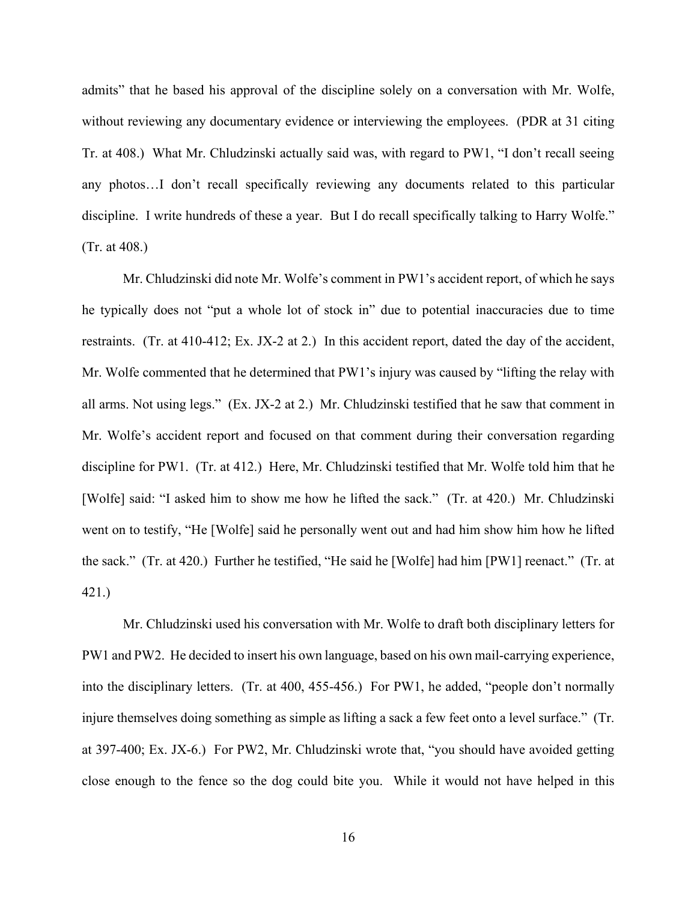admits" that he based his approval of the discipline solely on a conversation with Mr. Wolfe, without reviewing any documentary evidence or interviewing the employees. (PDR at 31 citing Tr. at 408.) What Mr. Chludzinski actually said was, with regard to PW1, "I don't recall seeing any photos…I don't recall specifically reviewing any documents related to this particular discipline. I write hundreds of these a year. But I do recall specifically talking to Harry Wolfe." (Tr. at 408.)

Mr. Chludzinski did note Mr. Wolfe's comment in PW1's accident report, of which he says he typically does not "put a whole lot of stock in" due to potential inaccuracies due to time restraints. (Tr. at 410-412; Ex. JX-2 at 2.) In this accident report, dated the day of the accident, Mr. Wolfe commented that he determined that PW1's injury was caused by "lifting the relay with all arms. Not using legs." (Ex. JX-2 at 2.) Mr. Chludzinski testified that he saw that comment in Mr. Wolfe's accident report and focused on that comment during their conversation regarding discipline for PW1. (Tr. at 412.) Here, Mr. Chludzinski testified that Mr. Wolfe told him that he [Wolfe] said: "I asked him to show me how he lifted the sack." (Tr. at 420.) Mr. Chludzinski went on to testify, "He [Wolfe] said he personally went out and had him show him how he lifted the sack." (Tr. at 420.) Further he testified, "He said he [Wolfe] had him [PW1] reenact." (Tr. at 421.)

Mr. Chludzinski used his conversation with Mr. Wolfe to draft both disciplinary letters for PW1 and PW2. He decided to insert his own language, based on his own mail-carrying experience, into the disciplinary letters. (Tr. at 400, 455-456.) For PW1, he added, "people don't normally injure themselves doing something as simple as lifting a sack a few feet onto a level surface." (Tr. at 397-400; Ex. JX-6.) For PW2, Mr. Chludzinski wrote that, "you should have avoided getting close enough to the fence so the dog could bite you. While it would not have helped in this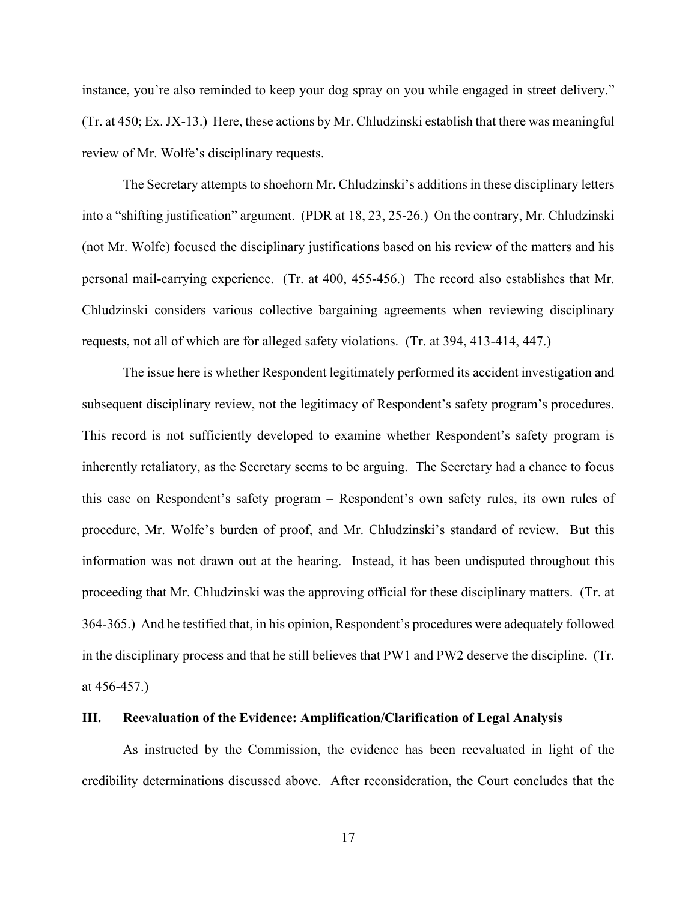instance, you're also reminded to keep your dog spray on you while engaged in street delivery." (Tr. at 450; Ex. JX-13.) Here, these actions by Mr. Chludzinski establish that there was meaningful review of Mr. Wolfe's disciplinary requests.

The Secretary attempts to shoehorn Mr. Chludzinski's additions in these disciplinary letters into a "shifting justification" argument. (PDR at 18, 23, 25-26.) On the contrary, Mr. Chludzinski (not Mr. Wolfe) focused the disciplinary justifications based on his review of the matters and his personal mail-carrying experience. (Tr. at 400, 455-456.) The record also establishes that Mr. Chludzinski considers various collective bargaining agreements when reviewing disciplinary requests, not all of which are for alleged safety violations. (Tr. at 394, 413-414, 447.)

The issue here is whether Respondent legitimately performed its accident investigation and subsequent disciplinary review, not the legitimacy of Respondent's safety program's procedures. This record is not sufficiently developed to examine whether Respondent's safety program is inherently retaliatory, as the Secretary seems to be arguing. The Secretary had a chance to focus this case on Respondent's safety program – Respondent's own safety rules, its own rules of procedure, Mr. Wolfe's burden of proof, and Mr. Chludzinski's standard of review. But this information was not drawn out at the hearing. Instead, it has been undisputed throughout this proceeding that Mr. Chludzinski was the approving official for these disciplinary matters. (Tr. at 364-365.) And he testified that, in his opinion, Respondent's procedures were adequately followed in the disciplinary process and that he still believes that PW1 and PW2 deserve the discipline. (Tr. at 456-457.)

#### **III. Reevaluation of the Evidence: Amplification/Clarification of Legal Analysis**

As instructed by the Commission, the evidence has been reevaluated in light of the credibility determinations discussed above. After reconsideration, the Court concludes that the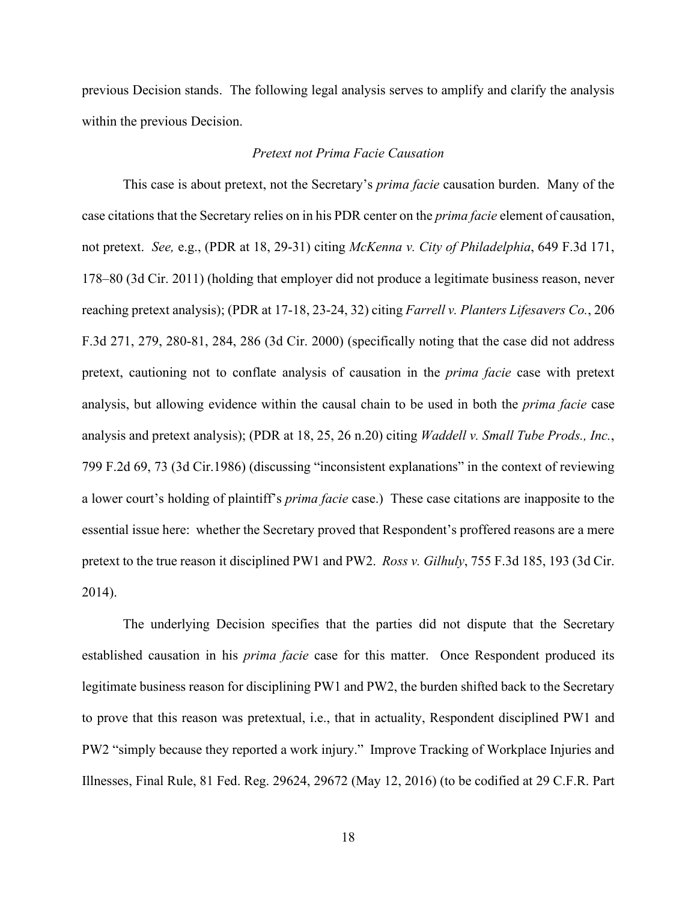previous Decision stands. The following legal analysis serves to amplify and clarify the analysis within the previous Decision.

# *Pretext not Prima Facie Causation*

This case is about pretext, not the Secretary's *prima facie* causation burden. Many of the case citations that the Secretary relies on in his PDR center on the *prima facie* element of causation, not pretext. *See,* e.g., (PDR at 18, 29-31) citing *McKenna v. City of Philadelphia*, 649 F.3d 171, 178–80 (3d Cir. 2011) (holding that employer did not produce a legitimate business reason, never reaching pretext analysis); (PDR at 17-18, 23-24, 32) citing *Farrell v. Planters Lifesavers Co.*, 206 F.3d 271, 279, 280-81, 284, 286 (3d Cir. 2000) (specifically noting that the case did not address pretext, cautioning not to conflate analysis of causation in the *prima facie* case with pretext analysis, but allowing evidence within the causal chain to be used in both the *prima facie* case analysis and pretext analysis); (PDR at 18, 25, 26 n.20) citing *Waddell v. Small Tube Prods., Inc.*, 799 F.2d 69, 73 (3d Cir.1986) (discussing "inconsistent explanations" in the context of reviewing a lower court's holding of plaintiff's *prima facie* case.) These case citations are inapposite to the essential issue here: whether the Secretary proved that Respondent's proffered reasons are a mere pretext to the true reason it disciplined PW1 and PW2. *Ross v. Gilhuly*, 755 F.3d 185, 193 (3d Cir. 2014).

The underlying Decision specifies that the parties did not dispute that the Secretary established causation in his *prima facie* case for this matter. Once Respondent produced its legitimate business reason for disciplining PW1 and PW2, the burden shifted back to the Secretary to prove that this reason was pretextual, i.e., that in actuality, Respondent disciplined PW1 and PW2 "simply because they reported a work injury." Improve Tracking of Workplace Injuries and Illnesses, Final Rule, 81 Fed. Reg. 29624, 29672 (May 12, 2016) (to be codified at 29 C.F.R. Part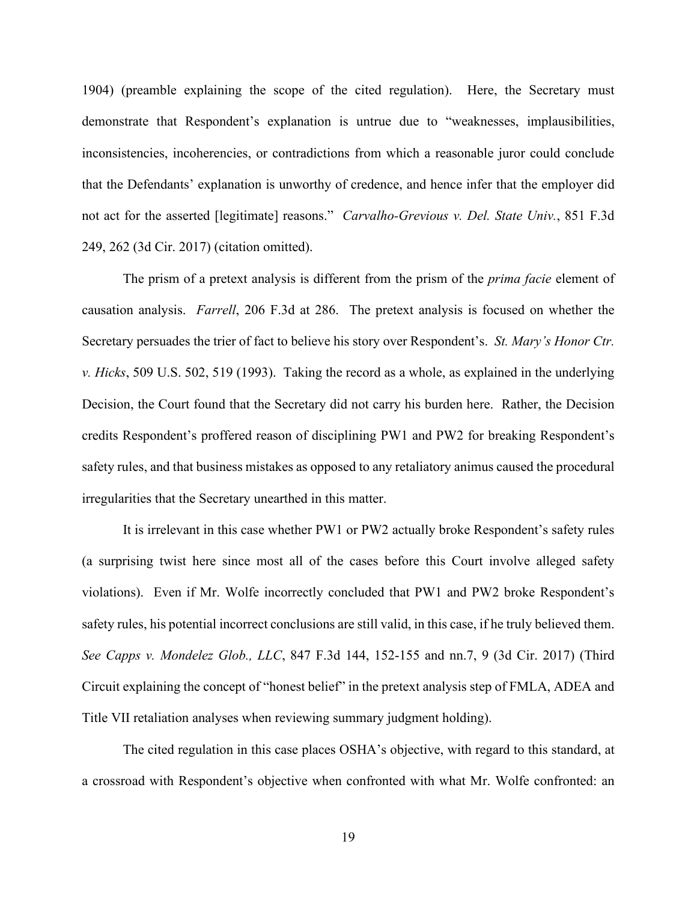1904) (preamble explaining the scope of the cited regulation). Here, the Secretary must demonstrate that Respondent's explanation is untrue due to "weaknesses, implausibilities, inconsistencies, incoherencies, or contradictions from which a reasonable juror could conclude that the Defendants' explanation is unworthy of credence, and hence infer that the employer did not act for the asserted [legitimate] reasons." *Carvalho-Grevious v. Del. State Univ.*, 851 F.3d 249, 262 (3d Cir. 2017) (citation omitted).

The prism of a pretext analysis is different from the prism of the *prima facie* element of causation analysis. *Farrell*, 206 F.3d at 286. The pretext analysis is focused on whether the Secretary persuades the trier of fact to believe his story over Respondent's. *St. Mary's Honor Ctr. v. Hicks*, 509 U.S. 502, 519 (1993). Taking the record as a whole, as explained in the underlying Decision, the Court found that the Secretary did not carry his burden here. Rather, the Decision credits Respondent's proffered reason of disciplining PW1 and PW2 for breaking Respondent's safety rules, and that business mistakes as opposed to any retaliatory animus caused the procedural irregularities that the Secretary unearthed in this matter.

It is irrelevant in this case whether PW1 or PW2 actually broke Respondent's safety rules (a surprising twist here since most all of the cases before this Court involve alleged safety violations). Even if Mr. Wolfe incorrectly concluded that PW1 and PW2 broke Respondent's safety rules, his potential incorrect conclusions are still valid, in this case, if he truly believed them. *See Capps v. Mondelez Glob., LLC*, 847 F.3d 144, 152-155 and nn.7, 9 (3d Cir. 2017) (Third Circuit explaining the concept of "honest belief" in the pretext analysis step of FMLA, ADEA and Title VII retaliation analyses when reviewing summary judgment holding).

The cited regulation in this case places OSHA's objective, with regard to this standard, at a crossroad with Respondent's objective when confronted with what Mr. Wolfe confronted: an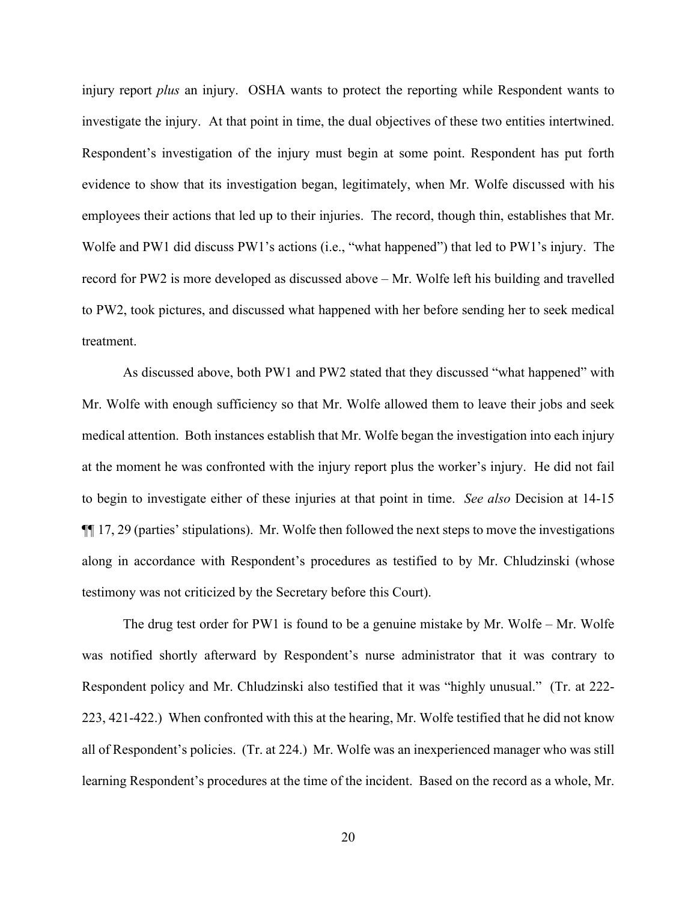injury report *plus* an injury. OSHA wants to protect the reporting while Respondent wants to investigate the injury. At that point in time, the dual objectives of these two entities intertwined. Respondent's investigation of the injury must begin at some point. Respondent has put forth evidence to show that its investigation began, legitimately, when Mr. Wolfe discussed with his employees their actions that led up to their injuries. The record, though thin, establishes that Mr. Wolfe and PW1 did discuss PW1's actions (i.e., "what happened") that led to PW1's injury. The record for PW2 is more developed as discussed above – Mr. Wolfe left his building and travelled to PW2, took pictures, and discussed what happened with her before sending her to seek medical treatment.

As discussed above, both PW1 and PW2 stated that they discussed "what happened" with Mr. Wolfe with enough sufficiency so that Mr. Wolfe allowed them to leave their jobs and seek medical attention. Both instances establish that Mr. Wolfe began the investigation into each injury at the moment he was confronted with the injury report plus the worker's injury. He did not fail to begin to investigate either of these injuries at that point in time. *See also* Decision at 14-15 ¶¶ 17, 29 (parties' stipulations). Mr. Wolfe then followed the next steps to move the investigations along in accordance with Respondent's procedures as testified to by Mr. Chludzinski (whose testimony was not criticized by the Secretary before this Court).

The drug test order for PW1 is found to be a genuine mistake by Mr. Wolfe – Mr. Wolfe was notified shortly afterward by Respondent's nurse administrator that it was contrary to Respondent policy and Mr. Chludzinski also testified that it was "highly unusual." (Tr. at 222- 223, 421-422.) When confronted with this at the hearing, Mr. Wolfe testified that he did not know all of Respondent's policies. (Tr. at 224.) Mr. Wolfe was an inexperienced manager who was still learning Respondent's procedures at the time of the incident. Based on the record as a whole, Mr.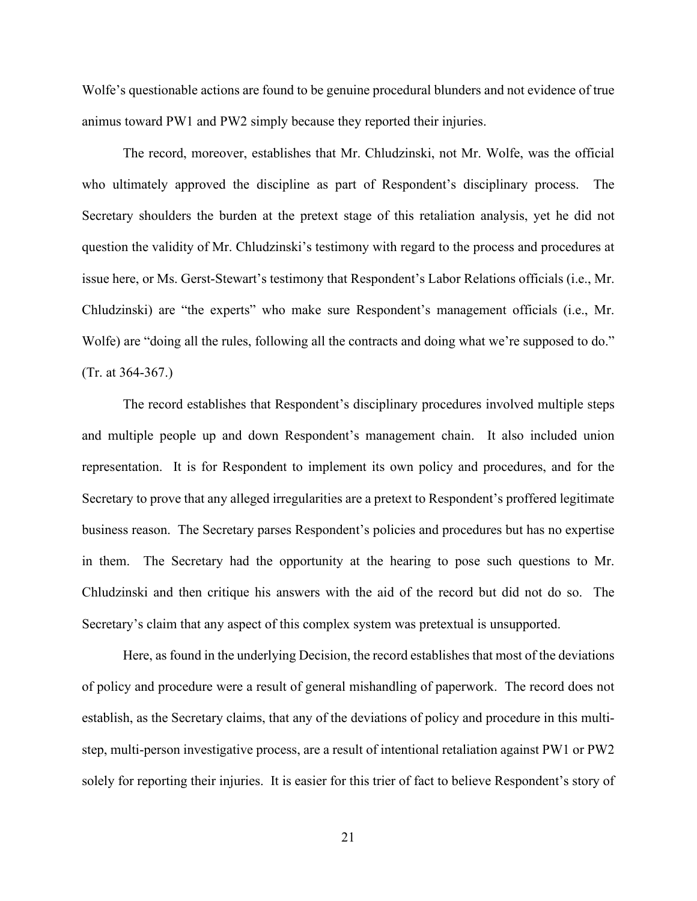Wolfe's questionable actions are found to be genuine procedural blunders and not evidence of true animus toward PW1 and PW2 simply because they reported their injuries.

The record, moreover, establishes that Mr. Chludzinski, not Mr. Wolfe, was the official who ultimately approved the discipline as part of Respondent's disciplinary process. The Secretary shoulders the burden at the pretext stage of this retaliation analysis, yet he did not question the validity of Mr. Chludzinski's testimony with regard to the process and procedures at issue here, or Ms. Gerst-Stewart's testimony that Respondent's Labor Relations officials (i.e., Mr. Chludzinski) are "the experts" who make sure Respondent's management officials (i.e., Mr. Wolfe) are "doing all the rules, following all the contracts and doing what we're supposed to do." (Tr. at 364-367.)

The record establishes that Respondent's disciplinary procedures involved multiple steps and multiple people up and down Respondent's management chain. It also included union representation. It is for Respondent to implement its own policy and procedures, and for the Secretary to prove that any alleged irregularities are a pretext to Respondent's proffered legitimate business reason. The Secretary parses Respondent's policies and procedures but has no expertise in them. The Secretary had the opportunity at the hearing to pose such questions to Mr. Chludzinski and then critique his answers with the aid of the record but did not do so. The Secretary's claim that any aspect of this complex system was pretextual is unsupported.

Here, as found in the underlying Decision, the record establishes that most of the deviations of policy and procedure were a result of general mishandling of paperwork. The record does not establish, as the Secretary claims, that any of the deviations of policy and procedure in this multistep, multi-person investigative process, are a result of intentional retaliation against PW1 or PW2 solely for reporting their injuries. It is easier for this trier of fact to believe Respondent's story of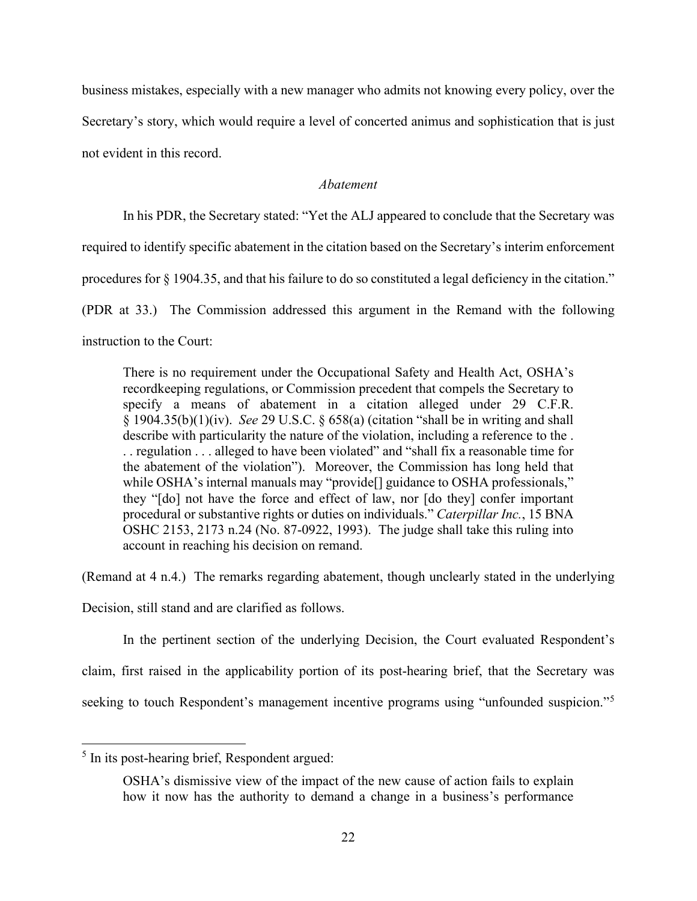business mistakes, especially with a new manager who admits not knowing every policy, over the Secretary's story, which would require a level of concerted animus and sophistication that is just not evident in this record.

# *Abatement*

In his PDR, the Secretary stated: "Yet the ALJ appeared to conclude that the Secretary was

required to identify specific abatement in the citation based on the Secretary's interim enforcement

procedures for § 1904.35, and that his failure to do so constituted a legal deficiency in the citation."

(PDR at 33.) The Commission addressed this argument in the Remand with the following

instruction to the Court:

There is no requirement under the Occupational Safety and Health Act, OSHA's recordkeeping regulations, or Commission precedent that compels the Secretary to specify a means of abatement in a citation alleged under 29 C.F.R. § 1904.35(b)(1)(iv). *See* 29 U.S.C. § 658(a) (citation "shall be in writing and shall describe with particularity the nature of the violation, including a reference to the . . . regulation . . . alleged to have been violated" and "shall fix a reasonable time for the abatement of the violation"). Moreover, the Commission has long held that while OSHA's internal manuals may "provide<sup>[]</sup> guidance to OSHA professionals," they "[do] not have the force and effect of law, nor [do they] confer important procedural or substantive rights or duties on individuals." *Caterpillar Inc.*, 15 BNA OSHC 2153, 2173 n.24 (No. 87-0922, 1993). The judge shall take this ruling into account in reaching his decision on remand.

(Remand at 4 n.4.) The remarks regarding abatement, though unclearly stated in the underlying

Decision, still stand and are clarified as follows.

In the pertinent section of the underlying Decision, the Court evaluated Respondent's claim, first raised in the applicability portion of its post-hearing brief, that the Secretary was seeking to touch Respondent's management incentive programs using "unfounded suspicion."<sup>[5](#page-21-0)</sup>

<span id="page-21-0"></span><sup>&</sup>lt;sup>5</sup> In its post-hearing brief, Respondent argued:

OSHA's dismissive view of the impact of the new cause of action fails to explain how it now has the authority to demand a change in a business's performance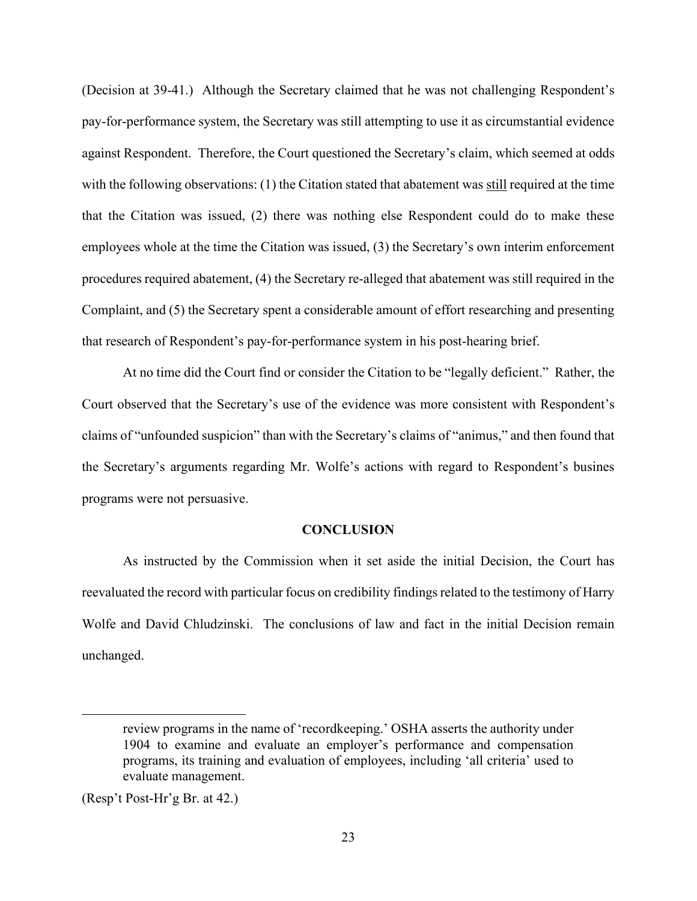(Decision at 39-41.) Although the Secretary claimed that he was not challenging Respondent's pay-for-performance system, the Secretary was still attempting to use it as circumstantial evidence against Respondent. Therefore, the Court questioned the Secretary's claim, which seemed at odds with the following observations: (1) the Citation stated that abatement was still required at the time that the Citation was issued, (2) there was nothing else Respondent could do to make these employees whole at the time the Citation was issued, (3) the Secretary's own interim enforcement procedures required abatement, (4) the Secretary re-alleged that abatement was still required in the Complaint, and (5) the Secretary spent a considerable amount of effort researching and presenting that research of Respondent's pay-for-performance system in his post-hearing brief.

At no time did the Court find or consider the Citation to be "legally deficient." Rather, the Court observed that the Secretary's use of the evidence was more consistent with Respondent's claims of "unfounded suspicion" than with the Secretary's claims of "animus," and then found that the Secretary's arguments regarding Mr. Wolfe's actions with regard to Respondent's busines programs were not persuasive.

# **CONCLUSION**

As instructed by the Commission when it set aside the initial Decision, the Court has reevaluated the record with particular focus on credibility findings related to the testimony of Harry Wolfe and David Chludzinski. The conclusions of law and fact in the initial Decision remain unchanged.

review programs in the name of 'recordkeeping.' OSHA asserts the authority under 1904 to examine and evaluate an employer's performance and compensation programs, its training and evaluation of employees, including 'all criteria' used to evaluate management.

<sup>(</sup>Resp't Post-Hr'g Br. at 42.)